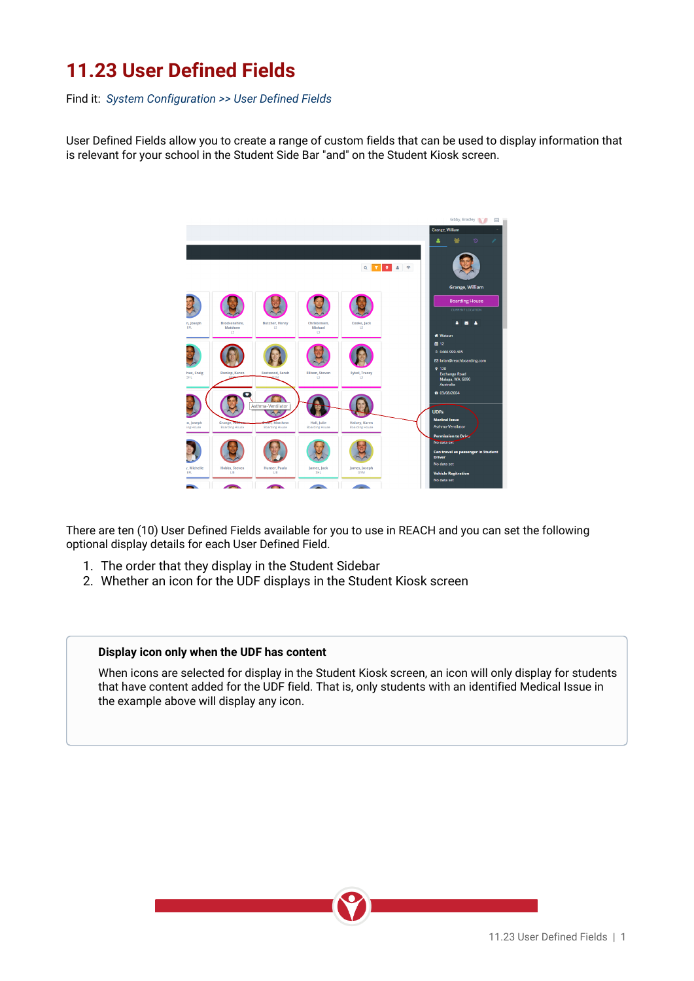## **11.23 User Defined Fields**

Find it: *System Configuration >> User Defined Fields*

User Defined Fields allow you to create a range of custom fields that can be used to display information that is relevant for your school in the Student Side Bar "and" on the Student Kiosk screen.



There are ten (10) User Defined Fields available for you to use in REACH and you can set the following optional display details for each User Defined Field.

- 1. The order that they display in the Student Sidebar
- 2. Whether an icon for the UDF displays in the Student Kiosk screen

## **Display icon only when the UDF has content**

When icons are selected for display in the Student Kiosk screen, an icon will only display for students that have content added for the UDF field. That is, only students with an identified Medical Issue in the example above will display any icon.